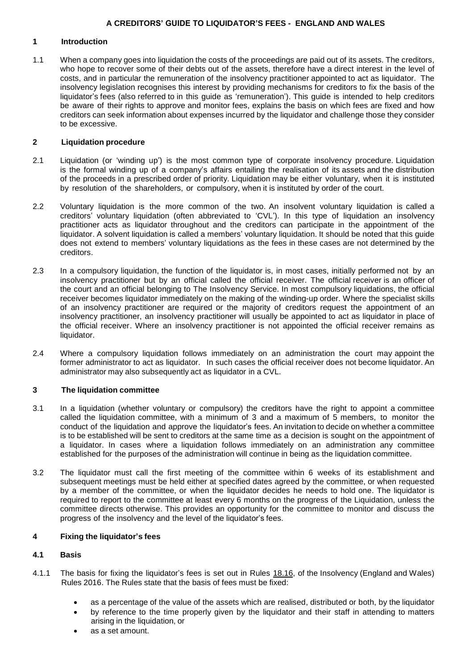# **1 Introduction**

1.1 When a company goes into liquidation the costs of the proceedings are paid out of its assets. The creditors, who hope to recover some of their debts out of the assets, therefore have a direct interest in the level of costs, and in particular the remuneration of the insolvency practitioner appointed to act as liquidator. The insolvency legislation recognises this interest by providing mechanisms for creditors to fix the basis of the liquidator's fees (also referred to in this guide as 'remuneration'). This guide is intended to help creditors be aware of their rights to approve and monitor fees, explains the basis on which fees are fixed and how creditors can seek information about expenses incurred by the liquidator and challenge those they consider to be excessive.

### **2 Liquidation procedure**

- 2.1 Liquidation (or 'winding up') is the most common type of corporate insolvency procedure. Liquidation is the formal winding up of a company's affairs entailing the realisation of its assets and the distribution of the proceeds in a prescribed order of priority. Liquidation may be either voluntary, when it is instituted by resolution of the shareholders, or compulsory, when it is instituted by order of the court.
- 2.2 Voluntary liquidation is the more common of the two. An insolvent voluntary liquidation is called a creditors' voluntary liquidation (often abbreviated to 'CVL'). In this type of liquidation an insolvency practitioner acts as liquidator throughout and the creditors can participate in the appointment of the liquidator. A solvent liquidation is called a members' voluntary liquidation. It should be noted that this guide does not extend to members' voluntary liquidations as the fees in these cases are not determined by the creditors.
- 2.3 In a compulsory liquidation, the function of the liquidator is, in most cases, initially performed not by an insolvency practitioner but by an official called the official receiver. The official receiver is an officer of the court and an official belonging to The Insolvency Service. In most compulsory liquidations, the official receiver becomes liquidator immediately on the making of the winding-up order. Where the specialist skills of an insolvency practitioner are required or the majority of creditors request the appointment of an insolvency practitioner, an insolvency practitioner will usually be appointed to act as liquidator in place of the official receiver. Where an insolvency practitioner is not appointed the official receiver remains as liquidator.
- 2.4 Where a compulsory liquidation follows immediately on an administration the court may appoint the former administrator to act as liquidator. In such cases the official receiver does not become liquidator. An administrator may also subsequently act as liquidator in a CVL.

### **3 The liquidation committee**

- 3.1 In a liquidation (whether voluntary or compulsory) the creditors have the right to appoint a committee called the liquidation committee, with a minimum of 3 and a maximum of 5 members, to monitor the conduct of the liquidation and approve the liquidator's fees. An invitation to decide on whether a committee is to be established will be sent to creditors at the same time as a decision is sought on the appointment of a liquidator. In cases where a liquidation follows immediately on an administration any committee established for the purposes of the administration will continue in being as the liquidation committee.
- 3.2 The liquidator must call the first meeting of the committee within 6 weeks of its establishment and subsequent meetings must be held either at specified dates agreed by the committee, or when requested by a member of the committee, or when the liquidator decides he needs to hold one. The liquidator is required to report to the committee at least every 6 months on the progress of the Liquidation, unless the committee directs otherwise. This provides an opportunity for the committee to monitor and discuss the progress of the insolvency and the level of the liquidator's fees.

### **4 Fixing the liquidator's fees**

### **4.1 Basis**

- 4.1.1 The basis for fixing the liquidator's fees is set out in Rules [18.16,](https://www.legislation.gov.uk/uksi/2016/1024/article/18.16/made) of the Insolvency (England and Wales) Rules 2016. The Rules state that the basis of fees must be fixed:
	- as a percentage of the value of the assets which are realised, distributed or both, by the liquidator
	- by reference to the time properly given by the liquidator and their staff in attending to matters arising in the liquidation, or
	- as a set amount.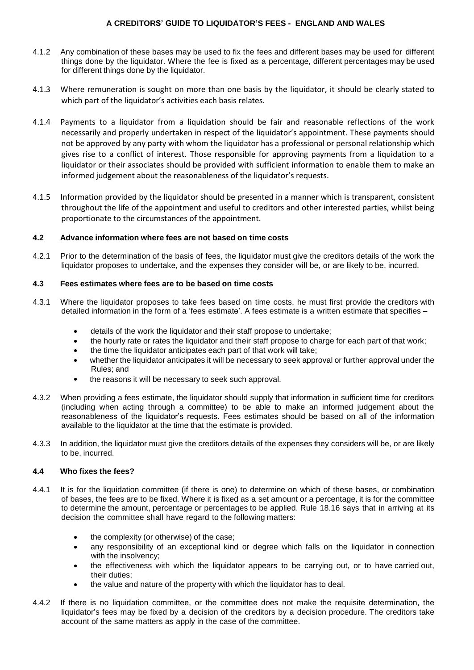- 4.1.2 Any combination of these bases may be used to fix the fees and different bases may be used for different things done by the liquidator. Where the fee is fixed as a percentage, different percentages may be used for different things done by the liquidator.
- 4.1.3 Where remuneration is sought on more than one basis by the liquidator, it should be clearly stated to which part of the liquidator's activities each basis relates.
- 4.1.4 Payments to a liquidator from a liquidation should be fair and reasonable reflections of the work necessarily and properly undertaken in respect of the liquidator's appointment. These payments should not be approved by any party with whom the liquidator has a professional or personal relationship which gives rise to a conflict of interest. Those responsible for approving payments from a liquidation to a liquidator or their associates should be provided with sufficient information to enable them to make an informed judgement about the reasonableness of the liquidator's requests.
- 4.1.5 Information provided by the liquidator should be presented in a manner which is transparent, consistent throughout the life of the appointment and useful to creditors and other interested parties, whilst being proportionate to the circumstances of the appointment.

### **4.2 Advance information where fees are not based on time costs**

4.2.1 Prior to the determination of the basis of fees, the liquidator must give the creditors details of the work the liquidator proposes to undertake, and the expenses they consider will be, or are likely to be, incurred.

#### **4.3 Fees estimates where fees are to be based on time costs**

- 4.3.1 Where the liquidator proposes to take fees based on time costs, he must first provide the creditors with detailed information in the form of a 'fees estimate'. A fees estimate is a written estimate that specifies –
	- details of the work the liquidator and their staff propose to undertake;
	- the hourly rate or rates the liquidator and their staff propose to charge for each part of that work;
	- the time the liquidator anticipates each part of that work will take;
	- whether the liquidator anticipates it will be necessary to seek approval or further approval under the Rules; and
	- the reasons it will be necessary to seek such approval.
- 4.3.2 When providing a fees estimate, the liquidator should supply that information in sufficient time for creditors (including when acting through a committee) to be able to make an informed judgement about the reasonableness of the liquidator's requests. Fees estimates should be based on all of the information available to the liquidator at the time that the estimate is provided.
- 4.3.3 In addition, the liquidator must give the creditors details of the expenses they considers will be, or are likely to be, incurred.

#### **4.4 Who fixes the fees?**

- 4.4.1 It is for the liquidation committee (if there is one) to determine on which of these bases, or combination of bases, the fees are to be fixed. Where it is fixed as a set amount or a percentage, it is for the committee to determine the amount, percentage or percentages to be applied. Rule 18.16 says that in arriving at its decision the committee shall have regard to the following matters:
	- the complexity (or otherwise) of the case;
	- any responsibility of an exceptional kind or degree which falls on the liquidator in connection with the insolvency;
	- the effectiveness with which the liquidator appears to be carrying out, or to have carried out, their duties;
	- the value and nature of the property with which the liquidator has to deal.
- 4.4.2 If there is no liquidation committee, or the committee does not make the requisite determination, the liquidator's fees may be fixed by a decision of the creditors by a decision procedure. The creditors take account of the same matters as apply in the case of the committee.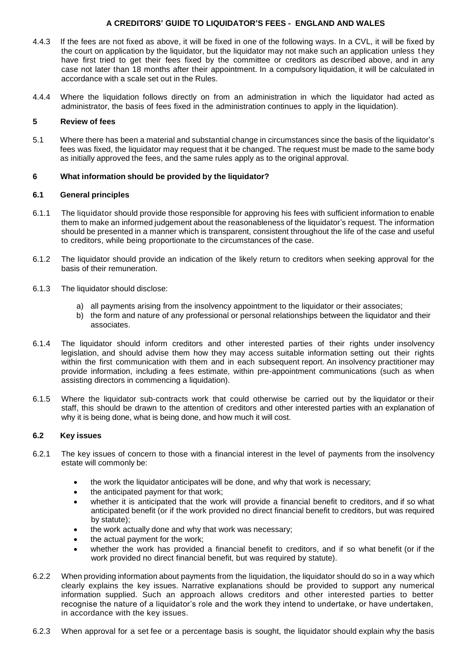- 4.4.3 If the fees are not fixed as above, it will be fixed in one of the following ways. In a CVL, it will be fixed by the court on application by the liquidator, but the liquidator may not make such an application unless t hey have first tried to get their fees fixed by the committee or creditors as described above, and in any case not later than 18 months after their appointment. In a compulsory liquidation, it will be calculated in accordance with a scale set out in the Rules.
- 4.4.4 Where the liquidation follows directly on from an administration in which the liquidator had acted as administrator, the basis of fees fixed in the administration continues to apply in the liquidation).

### **5 Review of fees**

5.1 Where there has been a material and substantial change in circumstances since the basis of the liquidator's fees was fixed, the liquidator may request that it be changed. The request must be made to the same body as initially approved the fees, and the same rules apply as to the original approval.

# **6 What information should be provided by the liquidator?**

# **6.1 General principles**

- 6.1.1 The liquidator should provide those responsible for approving his fees with sufficient information to enable them to make an informed judgement about the reasonableness of the liquidator's request. The information should be presented in a manner which is transparent, consistent throughout the life of the case and useful to creditors, while being proportionate to the circumstances of the case.
- 6.1.2 The liquidator should provide an indication of the likely return to creditors when seeking approval for the basis of their remuneration.
- 6.1.3 The liquidator should disclose:
	- a) all payments arising from the insolvency appointment to the liquidator or their associates;
	- b) the form and nature of any professional or personal relationships between the liquidator and their associates.
- 6.1.4 The liquidator should inform creditors and other interested parties of their rights under insolvency legislation, and should advise them how they may access suitable information setting out their rights within the first communication with them and in each subsequent report. An insolvency practitioner may provide information, including a fees estimate, within pre-appointment communications (such as when assisting directors in commencing a liquidation).
- 6.1.5 Where the liquidator sub-contracts work that could otherwise be carried out by the liquidator or their staff, this should be drawn to the attention of creditors and other interested parties with an explanation of why it is being done, what is being done, and how much it will cost.

### **6.2 Key issues**

- 6.2.1 The key issues of concern to those with a financial interest in the level of payments from the insolvency estate will commonly be:
	- the work the liquidator anticipates will be done, and why that work is necessary;
	- the anticipated payment for that work;
	- whether it is anticipated that the work will provide a financial benefit to creditors, and if so what anticipated benefit (or if the work provided no direct financial benefit to creditors, but was required by statute);
	- the work actually done and why that work was necessary;
	- the actual payment for the work;
	- whether the work has provided a financial benefit to creditors, and if so what benefit (or if the work provided no direct financial benefit, but was required by statute).
- 6.2.2 When providing information about payments from the liquidation, the liquidator should do so in a way which clearly explains the key issues. Narrative explanations should be provided to support any numerical information supplied. Such an approach allows creditors and other interested parties to better recognise the nature of a liquidator's role and the work they intend to undertake, or have undertaken, in accordance with the key issues.
- 6.2.3 When approval for a set fee or a percentage basis is sought, the liquidator should explain why the basis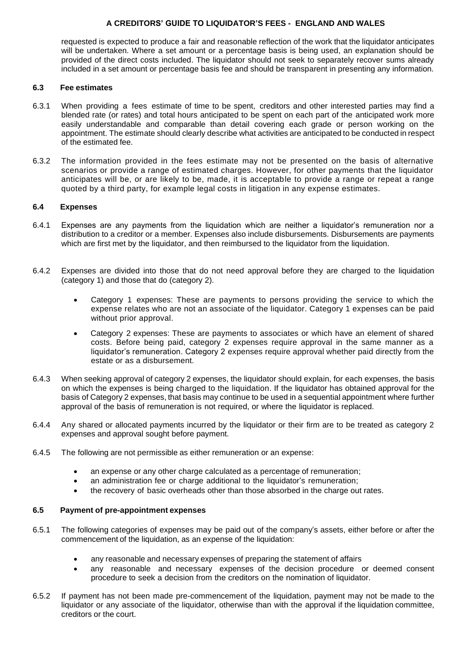requested is expected to produce a fair and reasonable reflection of the work that the liquidator anticipates will be undertaken. Where a set amount or a percentage basis is being used, an explanation should be provided of the direct costs included. The liquidator should not seek to separately recover sums already included in a set amount or percentage basis fee and should be transparent in presenting any information.

#### **6.3 Fee estimates**

- 6.3.1 When providing a fees estimate of time to be spent, creditors and other interested parties may find a blended rate (or rates) and total hours anticipated to be spent on each part of the anticipated work more easily understandable and comparable than detail covering each grade or person working on the appointment. The estimate should clearly describe what activities are anticipated to be conducted in respect of the estimated fee.
- 6.3.2 The information provided in the fees estimate may not be presented on the basis of alternative scenarios or provide a range of estimated charges. However, for other payments that the liquidator anticipates will be, or are likely to be, made, it is acceptable to provide a range or repeat a range quoted by a third party, for example legal costs in litigation in any expense estimates.

#### **6.4 Expenses**

- 6.4.1 Expenses are any payments from the liquidation which are neither a liquidator's remuneration nor a distribution to a creditor or a member. Expenses also include disbursements. Disbursements are payments which are first met by the liquidator, and then reimbursed to the liquidator from the liquidation.
- 6.4.2 Expenses are divided into those that do not need approval before they are charged to the liquidation (category 1) and those that do (category 2).
	- Category 1 expenses: These are payments to persons providing the service to which the expense relates who are not an associate of the liquidator. Category 1 expenses can be paid without prior approval.
	- Category 2 expenses: These are payments to associates or which have an element of shared costs. Before being paid, category 2 expenses require approval in the same manner as a liquidator's remuneration. Category 2 expenses require approval whether paid directly from the estate or as a disbursement.
- 6.4.3 When seeking approval of category 2 expenses, the liquidator should explain, for each expenses, the basis on which the expenses is being charged to the liquidation. If the liquidator has obtained approval for the basis of Category 2 expenses, that basis may continue to be used in a sequential appointment where further approval of the basis of remuneration is not required, or where the liquidator is replaced.
- 6.4.4 Any shared or allocated payments incurred by the liquidator or their firm are to be treated as category 2 expenses and approval sought before payment.
- 6.4.5 The following are not permissible as either remuneration or an expense:
	- an expense or any other charge calculated as a percentage of remuneration;
	- an administration fee or charge additional to the liquidator's remuneration;
	- the recovery of basic overheads other than those absorbed in the charge out rates.

## **6.5 Payment of pre-appointment expenses**

- 6.5.1 The following categories of expenses may be paid out of the company's assets, either before or after the commencement of the liquidation, as an expense of the liquidation:
	- any reasonable and necessary expenses of preparing the statement of affairs
	- any reasonable and necessary expenses of the decision procedure or deemed consent procedure to seek a decision from the creditors on the nomination of liquidator.
- 6.5.2 If payment has not been made pre-commencement of the liquidation, payment may not be made to the liquidator or any associate of the liquidator, otherwise than with the approval if the liquidation committee, creditors or the court.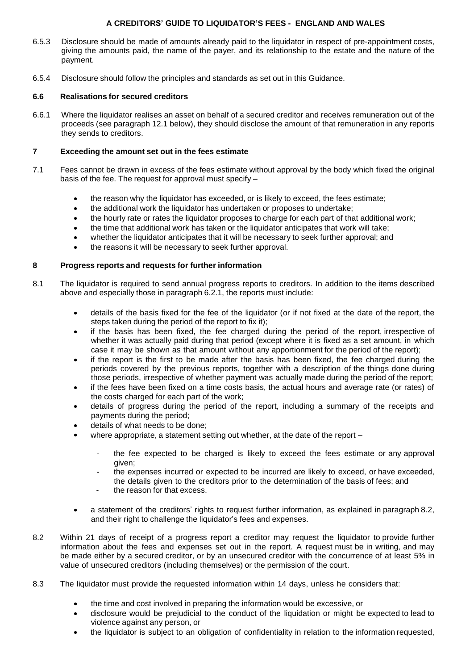- 6.5.3 Disclosure should be made of amounts already paid to the liquidator in respect of pre-appointment costs, giving the amounts paid, the name of the payer, and its relationship to the estate and the nature of the payment.
- 6.5.4 Disclosure should follow the principles and standards as set out in this Guidance.

# **6.6 Realisations for secured creditors**

6.6.1 Where the liquidator realises an asset on behalf of a secured creditor and receives remuneration out of the proceeds (see paragraph 12.1 below), they should disclose the amount of that remuneration in any reports they sends to creditors.

# **7 Exceeding the amount set out in the fees estimate**

- 7.1 Fees cannot be drawn in excess of the fees estimate without approval by the body which fixed the original basis of the fee. The request for approval must specify –
	- the reason why the liquidator has exceeded, or is likely to exceed, the fees estimate;
	- the additional work the liquidator has undertaken or proposes to undertake;
	- the hourly rate or rates the liquidator proposes to charge for each part of that additional work;
	- the time that additional work has taken or the liquidator anticipates that work will take;
	- whether the liquidator anticipates that it will be necessary to seek further approval; and
	- the reasons it will be necessary to seek further approval.

# **8 Progress reports and requests for further information**

- 8.1 The liquidator is required to send annual progress reports to creditors. In addition to the items described above and especially those in paragraph 6.2.1, the reports must include:
	- details of the basis fixed for the fee of the liquidator (or if not fixed at the date of the report, the steps taken during the period of the report to fix it);
	- if the basis has been fixed, the fee charged during the period of the report, irrespective of whether it was actually paid during that period (except where it is fixed as a set amount, in which case it may be shown as that amount without any apportionment for the period of the report);
	- if the report is the first to be made after the basis has been fixed, the fee charged during the periods covered by the previous reports, together with a description of the things done during those periods, irrespective of whether payment was actually made during the period of the report;
	- if the fees have been fixed on a time costs basis, the actual hours and average rate (or rates) of the costs charged for each part of the work;
	- details of progress during the period of the report, including a summary of the receipts and payments during the period;
	- details of what needs to be done;
	- where appropriate, a statement setting out whether, at the date of the report  $$ 
		- the fee expected to be charged is likely to exceed the fees estimate or any approval given;
		- the expenses incurred or expected to be incurred are likely to exceed, or have exceeded, the details given to the creditors prior to the determination of the basis of fees; and
		- the reason for that excess.
	- a statement of the creditors' rights to request further information, as explained in paragraph 8.2, and their right to challenge the liquidator's fees and expenses.
- 8.2 Within 21 days of receipt of a progress report a creditor may request the liquidator to provide further information about the fees and expenses set out in the report. A request must be in writing, and may be made either by a secured creditor, or by an unsecured creditor with the concurrence of at least 5% in value of unsecured creditors (including themselves) or the permission of the court.
- 8.3 The liquidator must provide the requested information within 14 days, unless he considers that:
	- the time and cost involved in preparing the information would be excessive, or
	- disclosure would be prejudicial to the conduct of the liquidation or might be expected to lead to violence against any person, or
	- the liquidator is subject to an obligation of confidentiality in relation to the information requested,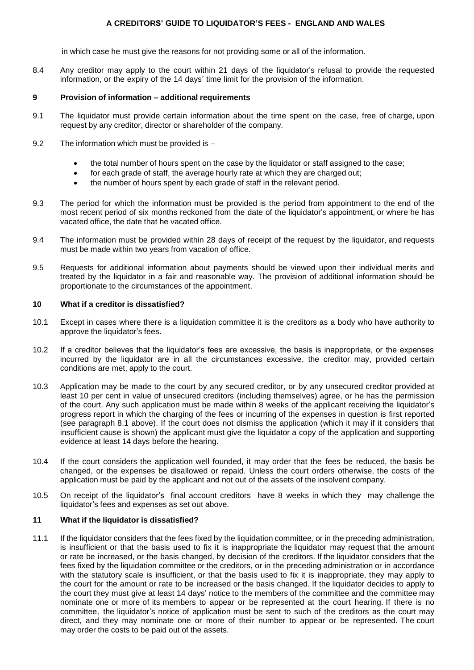in which case he must give the reasons for not providing some or all of the information.

8.4 Any creditor may apply to the court within 21 days of the liquidator's refusal to provide the requested information, or the expiry of the 14 days' time limit for the provision of the information.

#### **9 Provision of information – additional requirements**

- 9.1 The liquidator must provide certain information about the time spent on the case, free of charge, upon request by any creditor, director or shareholder of the company.
- 9.2 The information which must be provided is
	- the total number of hours spent on the case by the liquidator or staff assigned to the case;
	- for each grade of staff, the average hourly rate at which they are charged out;
	- the number of hours spent by each grade of staff in the relevant period.
- 9.3 The period for which the information must be provided is the period from appointment to the end of the most recent period of six months reckoned from the date of the liquidator's appointment, or where he has vacated office, the date that he vacated office.
- 9.4 The information must be provided within 28 days of receipt of the request by the liquidator, and requests must be made within two years from vacation of office.
- 9.5 Requests for additional information about payments should be viewed upon their individual merits and treated by the liquidator in a fair and reasonable way. The provision of additional information should be proportionate to the circumstances of the appointment.

#### **10 What if a creditor is dissatisfied?**

- 10.1 Except in cases where there is a liquidation committee it is the creditors as a body who have authority to approve the liquidator's fees.
- 10.2 If a creditor believes that the liquidator's fees are excessive, the basis is inappropriate, or the expenses incurred by the liquidator are in all the circumstances excessive, the creditor may, provided certain conditions are met, apply to the court.
- 10.3 Application may be made to the court by any secured creditor, or by any unsecured creditor provided at least 10 per cent in value of unsecured creditors (including themselves) agree, or he has the permission of the court. Any such application must be made within 8 weeks of the applicant receiving the liquidator's progress report in which the charging of the fees or incurring of the expenses in question is first reported (see paragraph 8.1 above). If the court does not dismiss the application (which it may if it considers that insufficient cause is shown) the applicant must give the liquidator a copy of the application and supporting evidence at least 14 days before the hearing.
- 10.4 If the court considers the application well founded, it may order that the fees be reduced, the basis be changed, or the expenses be disallowed or repaid. Unless the court orders otherwise, the costs of the application must be paid by the applicant and not out of the assets of the insolvent company.
- 10.5 On receipt of the liquidator's final account creditors have 8 weeks in which they may challenge the liquidator's fees and expenses as set out above.

### **11 What if the liquidator is dissatisfied?**

11.1 If the liquidator considers that the fees fixed by the liquidation committee, or in the preceding administration, is insufficient or that the basis used to fix it is inappropriate the liquidator may request that the amount or rate be increased, or the basis changed, by decision of the creditors. If the liquidator considers that the fees fixed by the liquidation committee or the creditors, or in the preceding administration or in accordance with the statutory scale is insufficient, or that the basis used to fix it is inappropriate, they may apply to the court for the amount or rate to be increased or the basis changed. If the liquidator decides to apply to the court they must give at least 14 days' notice to the members of the committee and the committee may nominate one or more of its members to appear or be represented at the court hearing. If there is no committee, the liquidator's notice of application must be sent to such of the creditors as the court may direct, and they may nominate one or more of their number to appear or be represented. The court may order the costs to be paid out of the assets.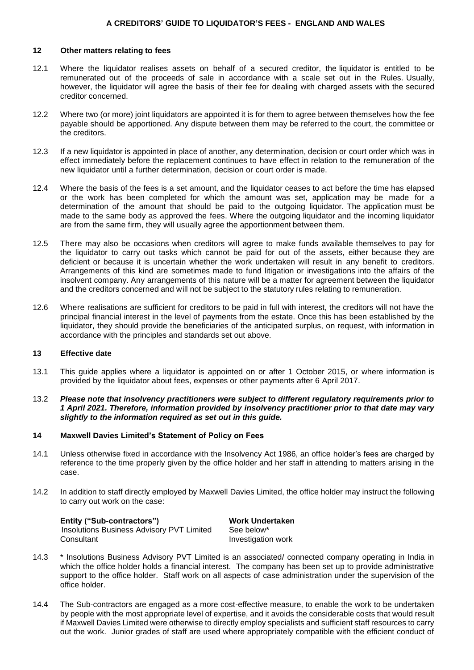### **12 Other matters relating to fees**

- 12.1 Where the liquidator realises assets on behalf of a secured creditor, the liquidator is entitled to be remunerated out of the proceeds of sale in accordance with a scale set out in the Rules. Usually, however, the liquidator will agree the basis of their fee for dealing with charged assets with the secured creditor concerned.
- 12.2 Where two (or more) joint liquidators are appointed it is for them to agree between themselves how the fee payable should be apportioned. Any dispute between them may be referred to the court, the committee or the creditors.
- 12.3 If a new liquidator is appointed in place of another, any determination, decision or court order which was in effect immediately before the replacement continues to have effect in relation to the remuneration of the new liquidator until a further determination, decision or court order is made.
- 12.4 Where the basis of the fees is a set amount, and the liquidator ceases to act before the time has elapsed or the work has been completed for which the amount was set, application may be made for a determination of the amount that should be paid to the outgoing liquidator. The application must be made to the same body as approved the fees. Where the outgoing liquidator and the incoming liquidator are from the same firm, they will usually agree the apportionment between them.
- 12.5 There may also be occasions when creditors will agree to make funds available themselves to pay for the liquidator to carry out tasks which cannot be paid for out of the assets, either because they are deficient or because it is uncertain whether the work undertaken will result in any benefit to creditors. Arrangements of this kind are sometimes made to fund litigation or investigations into the affairs of the insolvent company. Any arrangements of this nature will be a matter for agreement between the liquidator and the creditors concerned and will not be subject to the statutory rules relating to remuneration.
- 12.6 Where realisations are sufficient for creditors to be paid in full with interest, the creditors will not have the principal financial interest in the level of payments from the estate. Once this has been established by the liquidator, they should provide the beneficiaries of the anticipated surplus, on request, with information in accordance with the principles and standards set out above.

### **13 Effective date**

- 13.1 This guide applies where a liquidator is appointed on or after 1 October 2015, or where information is provided by the liquidator about fees, expenses or other payments after 6 April 2017.
- 13.2 *Please note that insolvency practitioners were subject to different regulatory requirements prior to 1 April 2021. Therefore, information provided by insolvency practitioner prior to that date may vary slightly to the information required as set out in this guide.*

### **14 Maxwell Davies Limited's Statement of Policy on Fees**

- 14.1 Unless otherwise fixed in accordance with the Insolvency Act 1986, an office holder's fees are charged by reference to the time properly given by the office holder and her staff in attending to matters arising in the case.
- 14.2 In addition to staff directly employed by Maxwell Davies Limited, the office holder may instruct the following to carry out work on the case:

| Entity ("Sub-contractors")                       | <b>Work Undertaken</b> |
|--------------------------------------------------|------------------------|
| <b>Insolutions Business Advisory PVT Limited</b> | See below*             |
| Consultant                                       | Investigation work     |

- 14.3 \* Insolutions Business Advisory PVT Limited is an associated/ connected company operating in India in which the office holder holds a financial interest. The company has been set up to provide administrative support to the office holder. Staff work on all aspects of case administration under the supervision of the office holder.
- 14.4 The Sub-contractors are engaged as a more cost-effective measure, to enable the work to be undertaken by people with the most appropriate level of expertise, and it avoids the considerable costs that would result if Maxwell Davies Limited were otherwise to directly employ specialists and sufficient staff resources to carry out the work. Junior grades of staff are used where appropriately compatible with the efficient conduct of